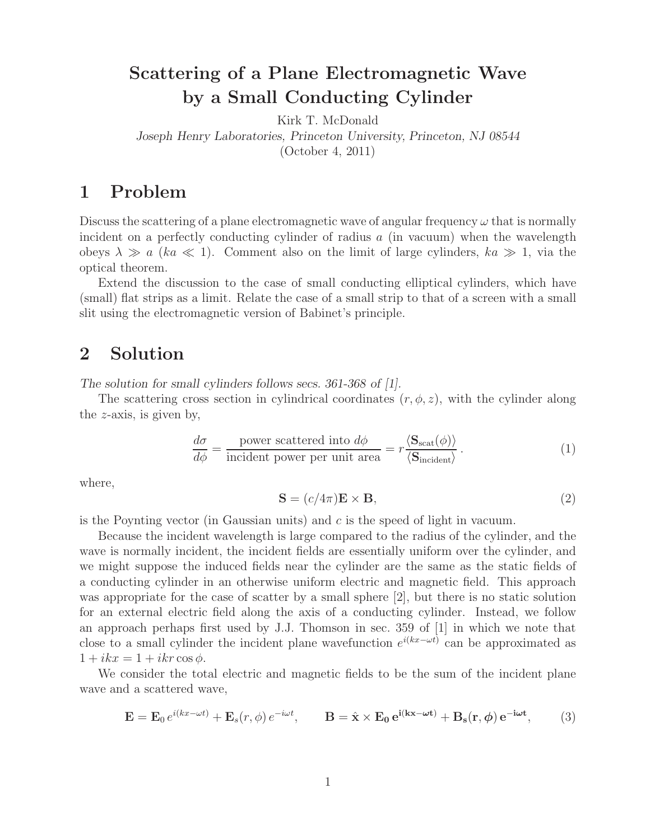# **Scattering of a Plane Electromagnetic Wave by a Small Conducting Cylinder**

Kirk T. McDonald

*Joseph Henry Laboratories, Princeton University, Princeton, NJ 08544*

(October 4, 2011)

## **1 Problem**

Discuss the scattering of a plane electromagnetic wave of angular frequency  $\omega$  that is normally incident on a perfectly conducting cylinder of radius  $a$  (in vacuum) when the wavelength obeys  $\lambda \gg a$  (ka  $\ll 1$ ). Comment also on the limit of large cylinders, ka  $\gg 1$ , via the optical theorem.

Extend the discussion to the case of small conducting elliptical cylinders, which have (small) flat strips as a limit. Relate the case of a small strip to that of a screen with a small slit using the electromagnetic version of Babinet's principle.

## **2 Solution**

*The solution for small cylinders follows secs. 361-368 of [1].*

The scattering cross section in cylindrical coordinates  $(r, \phi, z)$ , with the cylinder along the z-axis, is given by,

$$
\frac{d\sigma}{d\phi} = \frac{\text{power scattered into } d\phi}{\text{incident power per unit area}} = r \frac{\langle \mathbf{S}_{\text{scat}}(\phi) \rangle}{\langle \mathbf{S}_{\text{incident}} \rangle} \,. \tag{1}
$$

where,

$$
\mathbf{S} = (c/4\pi)\mathbf{E} \times \mathbf{B},\tag{2}
$$

is the Poynting vector (in Gaussian units) and  $c$  is the speed of light in vacuum.

Because the incident wavelength is large compared to the radius of the cylinder, and the wave is normally incident, the incident fields are essentially uniform over the cylinder, and we might suppose the induced fields near the cylinder are the same as the static fields of a conducting cylinder in an otherwise uniform electric and magnetic field. This approach was appropriate for the case of scatter by a small sphere [2], but there is no static solution for an external electric field along the axis of a conducting cylinder. Instead, we follow an approach perhaps first used by J.J. Thomson in sec. 359 of [1] in which we note that close to a small cylinder the incident plane wavefunction  $e^{i(kx-\omega t)}$  can be approximated as  $1 + ikx = 1 + ikr \cos \phi.$ 

We consider the total electric and magnetic fields to be the sum of the incident plane wave and a scattered wave,

$$
\mathbf{E} = \mathbf{E}_0 e^{i(kx - \omega t)} + \mathbf{E}_s(r, \phi) e^{-i\omega t}, \qquad \mathbf{B} = \hat{\mathbf{x}} \times \mathbf{E}_0 e^{i(kx - \omega t)} + \mathbf{B}_s(r, \phi) e^{-i\omega t}, \qquad (3)
$$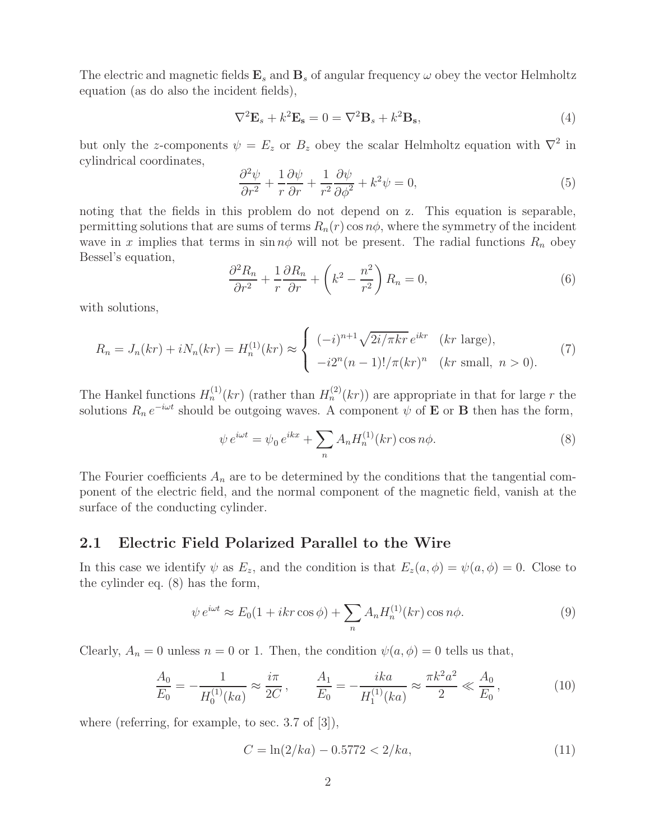The electric and magnetic fields  $\mathbf{E}_s$  and  $\mathbf{B}_s$  of angular frequency  $\omega$  obey the vector Helmholtz equation (as do also the incident fields),

$$
\nabla^2 \mathbf{E}_s + k^2 \mathbf{E}_s = 0 = \nabla^2 \mathbf{B}_s + k^2 \mathbf{B}_s,
$$
\n(4)

but only the z-components  $\psi = E_z$  or  $B_z$  obey the scalar Helmholtz equation with  $\nabla^2$  in cylindrical coordinates,

$$
\frac{\partial^2 \psi}{\partial r^2} + \frac{1}{r} \frac{\partial \psi}{\partial r} + \frac{1}{r^2} \frac{\partial \psi}{\partial \phi^2} + k^2 \psi = 0,
$$
\n(5)

noting that the fields in this problem do not depend on z. This equation is separable, permitting solutions that are sums of terms  $R_n(r)$  cos  $n\phi$ , where the symmetry of the incident wave in x implies that terms in  $\sin n\phi$  will not be present. The radial functions  $R_n$  obey Bessel's equation,

$$
\frac{\partial^2 R_n}{\partial r^2} + \frac{1}{r} \frac{\partial R_n}{\partial r} + \left(k^2 - \frac{n^2}{r^2}\right) R_n = 0,
$$
\n(6)

with solutions,

$$
R_n = J_n(kr) + iN_n(kr) = H_n^{(1)}(kr) \approx \begin{cases} (-i)^{n+1} \sqrt{2i/\pi kr} e^{ikr} & (kr \text{ large}), \\ -i2^n(n-1)!/\pi(kr)^n & (kr \text{ small}, n > 0). \end{cases}
$$
(7)

The Hankel functions  $H_n^{(1)}(kr)$  (rather than  $H_n^{(2)}(kr)$ ) are appropriate in that for large r the solutions  $R_n e^{-i\omega t}$  should be outgoing waves. A component  $\psi$  of **E** or **B** then has the form,

$$
\psi e^{i\omega t} = \psi_0 e^{ikx} + \sum_n A_n H_n^{(1)}(kr) \cos n\phi.
$$
\n(8)

The Fourier coefficients  $A_n$  are to be determined by the conditions that the tangential component of the electric field, and the normal component of the magnetic field, vanish at the surface of the conducting cylinder.

#### **2.1 Electric Field Polarized Parallel to the Wire**

In this case we identify  $\psi$  as  $E_z$ , and the condition is that  $E_z(a, \phi) = \psi(a, \phi) = 0$ . Close to the cylinder eq. (8) has the form,

$$
\psi e^{i\omega t} \approx E_0(1 + ikr \cos \phi) + \sum_n A_n H_n^{(1)}(kr) \cos n\phi.
$$
\n(9)

Clearly,  $A_n = 0$  unless  $n = 0$  or 1. Then, the condition  $\psi(a, \phi) = 0$  tells us that,

$$
\frac{A_0}{E_0} = -\frac{1}{H_0^{(1)}(ka)} \approx \frac{i\pi}{2C}, \qquad \frac{A_1}{E_0} = -\frac{ika}{H_1^{(1)}(ka)} \approx \frac{\pi k^2 a^2}{2} \ll \frac{A_0}{E_0},\tag{10}
$$

where (referring, for example, to sec. 3.7 of [3]),

$$
C = \ln(2/ka) - 0.5772 < 2/ka,\tag{11}
$$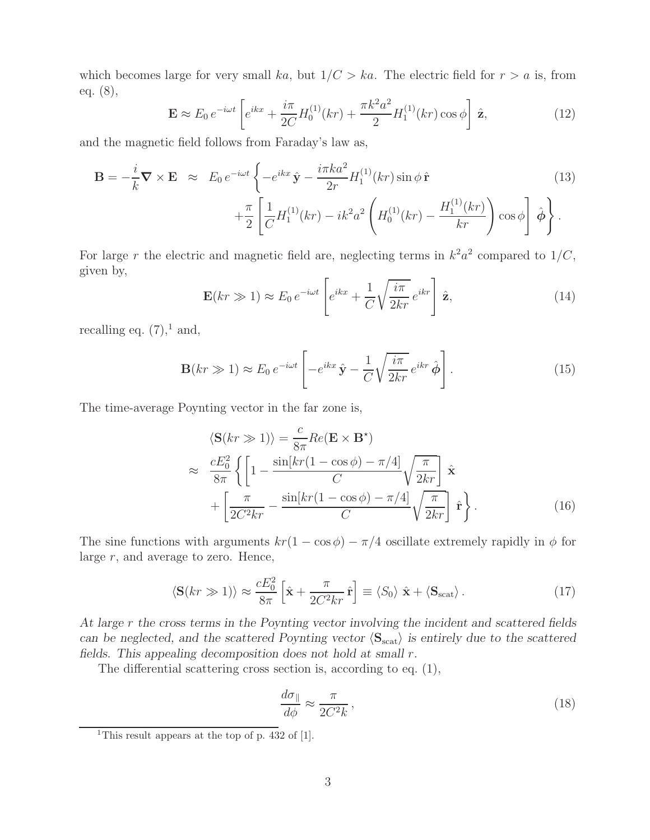which becomes large for very small ka, but  $1/C > ka$ . The electric field for  $r > a$  is, from eq. (8),

$$
\mathbf{E} \approx E_0 e^{-i\omega t} \left[ e^{ikx} + \frac{i\pi}{2C} H_0^{(1)}(kr) + \frac{\pi k^2 a^2}{2} H_1^{(1)}(kr) \cos \phi \right] \hat{\mathbf{z}},\tag{12}
$$

and the magnetic field follows from Faraday's law as,

$$
\mathbf{B} = -\frac{i}{k} \nabla \times \mathbf{E} \approx E_0 e^{-i\omega t} \left\{ -e^{ikx} \hat{\mathbf{y}} - \frac{i\pi k a^2}{2r} H_1^{(1)}(kr) \sin \phi \hat{\mathbf{r}} \right. \\
\left. + \frac{\pi}{2} \left[ \frac{1}{C} H_1^{(1)}(kr) - ik^2 a^2 \left( H_0^{(1)}(kr) - \frac{H_1^{(1)}(kr)}{kr} \right) \cos \phi \right] \hat{\phi} \right\}.
$$
\n(13)

For large r the electric and magnetic field are, neglecting terms in  $k^2 a^2$  compared to  $1/C$ , given by,

$$
\mathbf{E}(kr \gg 1) \approx E_0 e^{-i\omega t} \left[ e^{ikx} + \frac{1}{C} \sqrt{\frac{i\pi}{2kr}} e^{ikr} \right] \hat{\mathbf{z}}, \tag{14}
$$

recalling eq.  $(7),$ <sup>1</sup> and,

$$
\mathbf{B}(kr \gg 1) \approx E_0 e^{-i\omega t} \left[ -e^{ikx} \hat{\mathbf{y}} - \frac{1}{C} \sqrt{\frac{i\pi}{2kr}} e^{ikr} \hat{\boldsymbol{\phi}} \right]. \tag{15}
$$

The time-average Poynting vector in the far zone is,

$$
\langle \mathbf{S}(kr \gg 1) \rangle = \frac{c}{8\pi} Re(\mathbf{E} \times \mathbf{B}^*)
$$
  
\n
$$
\approx \frac{cE_0^2}{8\pi} \left\{ \left[ 1 - \frac{\sin[kr(1 - \cos\phi) - \pi/4]}{C} \sqrt{\frac{\pi}{2kr}} \right] \hat{\mathbf{x}} + \left[ \frac{\pi}{2C^2kr} - \frac{\sin[kr(1 - \cos\phi) - \pi/4]}{C} \sqrt{\frac{\pi}{2kr}} \right] \hat{\mathbf{r}} \right\}.
$$
 (16)

The sine functions with arguments  $kr(1 - \cos \phi) - \pi/4$  oscillate extremely rapidly in  $\phi$  for large  $r$ , and average to zero. Hence,

$$
\langle \mathbf{S}(kr \gg 1) \rangle \approx \frac{cE_0^2}{8\pi} \left[ \hat{\mathbf{x}} + \frac{\pi}{2C^2kr} \hat{\mathbf{r}} \right] \equiv \langle S_0 \rangle \hat{\mathbf{x}} + \langle \mathbf{S}_{\text{scat}} \rangle. \tag{17}
$$

*At large* r *the cross terms in the Poynting vector involving the incident and scattered fields can be neglected, and the scattered Poynting vector*  $\langle S_{\text{scat}} \rangle$  *is entirely due to the scattered fields. This appealing decomposition does not hold at small* r*.*

The differential scattering cross section is, according to eq. (1),

$$
\frac{d\sigma_{\parallel}}{d\phi} \approx \frac{\pi}{2C^2k},\tag{18}
$$

<sup>&</sup>lt;sup>1</sup>This result appears at the top of p. 432 of  $[1]$ .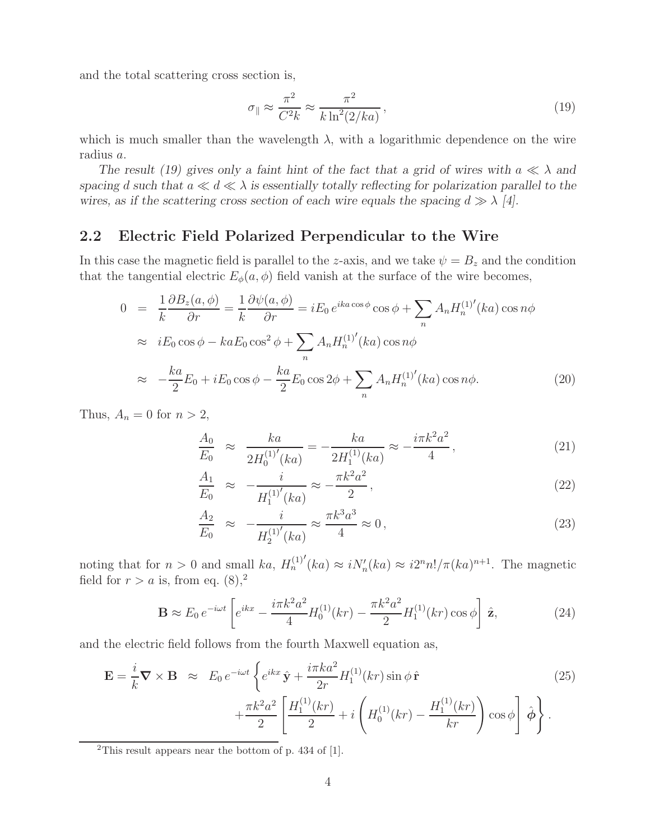and the total scattering cross section is,

$$
\sigma_{\parallel} \approx \frac{\pi^2}{C^2 k} \approx \frac{\pi^2}{k \ln^2(2/ka)},\tag{19}
$$

which is much smaller than the wavelength  $\lambda$ , with a logarithmic dependence on the wire radius a.

*The result (19) gives only a faint hint of the fact that a grid of wires with*  $a \ll \lambda$  *and spacing* d such that  $a \ll d \ll \lambda$  *is essentially totally reflecting for polarization parallel to the* wires, as if the scattering cross section of each wire equals the spacing  $d \gg \lambda$  [4].

### **2.2 Electric Field Polarized Perpendicular to the Wire**

In this case the magnetic field is parallel to the z-axis, and we take  $\psi = B_z$  and the condition that the tangential electric  $E_{\phi}(a, \phi)$  field vanish at the surface of the wire becomes,

$$
0 = \frac{1}{k} \frac{\partial B_z(a, \phi)}{\partial r} = \frac{1}{k} \frac{\partial \psi(a, \phi)}{\partial r} = iE_0 e^{ika \cos \phi} \cos \phi + \sum_n A_n H_n^{(1)'}(ka) \cos n\phi
$$
  
\n
$$
\approx iE_0 \cos \phi - kaE_0 \cos^2 \phi + \sum_n A_n H_n^{(1)'}(ka) \cos n\phi
$$
  
\n
$$
\approx -\frac{ka}{2}E_0 + iE_0 \cos \phi - \frac{ka}{2}E_0 \cos 2\phi + \sum_n A_n H_n^{(1)'}(ka) \cos n\phi.
$$
 (20)

Thus,  $A_n = 0$  for  $n > 2$ ,

$$
\frac{A_0}{E_0} \approx \frac{ka}{2H_0^{(1)'}(ka)} = -\frac{ka}{2H_1^{(1)}(ka)} \approx -\frac{i\pi k^2 a^2}{4},\tag{21}
$$

$$
\frac{A_1}{E_0} \approx -\frac{i}{H_1^{(1)'}(ka)} \approx -\frac{\pi k^2 a^2}{2},\tag{22}
$$

$$
\frac{A_2}{E_0} \approx -\frac{i}{H_2^{(1)'}(ka)} \approx \frac{\pi k^3 a^3}{4} \approx 0,
$$
\n(23)

noting that for  $n > 0$  and small ka,  $H_n^{(1)'}(ka) \approx i N_n'(ka) \approx i2^n n! / \pi (ka)^{n+1}$ . The magnetic field for  $r > a$  is, from eq.  $(8)$ ,<sup>2</sup>

$$
\mathbf{B} \approx E_0 e^{-i\omega t} \left[ e^{ikx} - \frac{i\pi k^2 a^2}{4} H_0^{(1)}(kr) - \frac{\pi k^2 a^2}{2} H_1^{(1)}(kr) \cos \phi \right] \hat{\mathbf{z}},\tag{24}
$$

and the electric field follows from the fourth Maxwell equation as,

$$
\mathbf{E} = \frac{i}{k} \nabla \times \mathbf{B} \approx E_0 e^{-i\omega t} \left\{ e^{ikx} \hat{\mathbf{y}} + \frac{i\pi k a^2}{2r} H_1^{(1)}(kr) \sin \phi \hat{\mathbf{r}} \right.\n\left. + \frac{\pi k^2 a^2}{2} \left[ \frac{H_1^{(1)}(kr)}{2} + i \left( H_0^{(1)}(kr) - \frac{H_1^{(1)}(kr)}{kr} \right) \cos \phi \right] \hat{\phi} \right\}.
$$
\n(25)

<sup>2</sup>This result appears near the bottom of p. 434 of [1].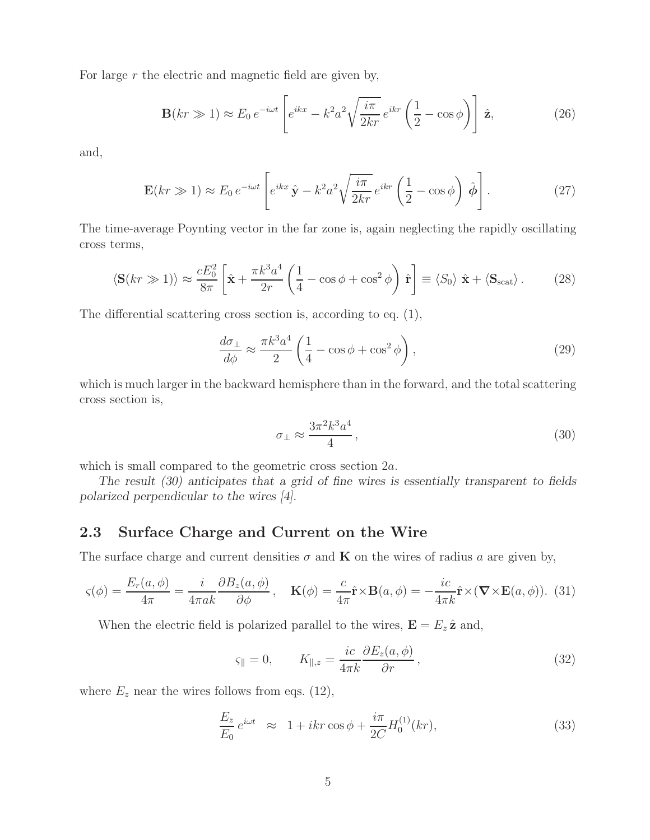For large r the electric and magnetic field are given by,

$$
\mathbf{B}(kr \gg 1) \approx E_0 e^{-i\omega t} \left[ e^{ikx} - k^2 a^2 \sqrt{\frac{i\pi}{2kr}} e^{ikr} \left( \frac{1}{2} - \cos \phi \right) \right] \hat{\mathbf{z}}, \tag{26}
$$

and,

$$
\mathbf{E}(kr \gg 1) \approx E_0 e^{-i\omega t} \left[ e^{ikx} \hat{\mathbf{y}} - k^2 a^2 \sqrt{\frac{i\pi}{2kr}} e^{ikr} \left( \frac{1}{2} - \cos \phi \right) \hat{\phi} \right]. \tag{27}
$$

The time-average Poynting vector in the far zone is, again neglecting the rapidly oscillating cross terms,

$$
\langle \mathbf{S}(kr \gg 1) \rangle \approx \frac{cE_0^2}{8\pi} \left[ \hat{\mathbf{x}} + \frac{\pi k^3 a^4}{2r} \left( \frac{1}{4} - \cos \phi + \cos^2 \phi \right) \hat{\mathbf{r}} \right] \equiv \langle S_0 \rangle \hat{\mathbf{x}} + \langle \mathbf{S}_{\text{scat}} \rangle. \tag{28}
$$

The differential scattering cross section is, according to eq. (1),

$$
\frac{d\sigma_{\perp}}{d\phi} \approx \frac{\pi k^3 a^4}{2} \left( \frac{1}{4} - \cos\phi + \cos^2\phi \right),\tag{29}
$$

which is much larger in the backward hemisphere than in the forward, and the total scattering cross section is,

$$
\sigma_{\perp} \approx \frac{3\pi^2 k^3 a^4}{4},\tag{30}
$$

which is small compared to the geometric cross section 2a.

*The result (30) anticipates that a grid of fine wires is essentially transparent to fields polarized perpendicular to the wires [4].*

### **2.3 Surface Charge and Current on the Wire**

The surface charge and current densities  $\sigma$  and **K** on the wires of radius a are given by,

$$
\varsigma(\phi) = \frac{E_r(a,\phi)}{4\pi} = \frac{i}{4\pi ak} \frac{\partial B_z(a,\phi)}{\partial \phi}, \quad \mathbf{K}(\phi) = \frac{c}{4\pi} \hat{\mathbf{r}} \times \mathbf{B}(a,\phi) = -\frac{ic}{4\pi k} \hat{\mathbf{r}} \times (\mathbf{\nabla} \times \mathbf{E}(a,\phi)).
$$
 (31)

When the electric field is polarized parallel to the wires,  $\mathbf{E} = E_z \hat{\mathbf{z}}$  and,

$$
\varsigma_{\parallel} = 0, \qquad K_{\parallel,z} = \frac{ic}{4\pi k} \frac{\partial E_z(a,\phi)}{\partial r}, \qquad (32)
$$

where  $E_z$  near the wires follows from eqs. (12),

$$
\frac{E_z}{E_0}e^{i\omega t} \approx 1 + ikr \cos \phi + \frac{i\pi}{2C}H_0^{(1)}(kr),\tag{33}
$$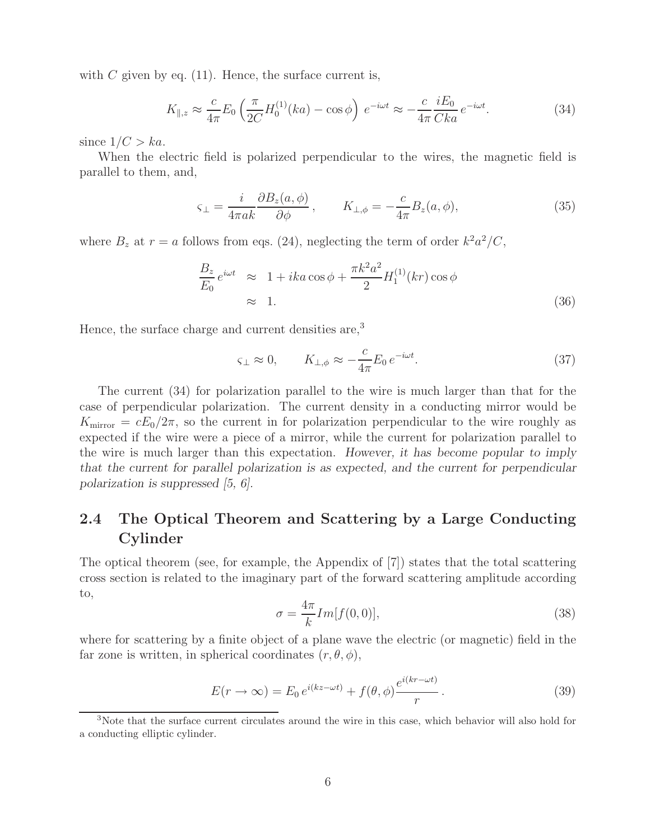with  $C$  given by eq. (11). Hence, the surface current is,

$$
K_{\parallel,z} \approx \frac{c}{4\pi} E_0 \left( \frac{\pi}{2C} H_0^{(1)}(ka) - \cos \phi \right) e^{-i\omega t} \approx -\frac{c}{4\pi} \frac{iE_0}{Cka} e^{-i\omega t}.
$$
 (34)

since  $1/C > ka$ .

When the electric field is polarized perpendicular to the wires, the magnetic field is parallel to them, and,

$$
\varsigma_{\perp} = \frac{i}{4\pi a k} \frac{\partial B_z(a, \phi)}{\partial \phi}, \qquad K_{\perp, \phi} = -\frac{c}{4\pi} B_z(a, \phi), \tag{35}
$$

where  $B_z$  at  $r = a$  follows from eqs. (24), neglecting the term of order  $k^2 a^2/C$ ,

$$
\frac{B_z}{E_0} e^{i\omega t} \approx 1 + ika \cos \phi + \frac{\pi k^2 a^2}{2} H_1^{(1)}(kr) \cos \phi
$$
  

$$
\approx 1.
$$
 (36)

Hence, the surface charge and current densities are,<sup>3</sup>

$$
\varsigma_{\perp} \approx 0, \qquad K_{\perp,\phi} \approx -\frac{c}{4\pi} E_0 \, e^{-i\omega t}.\tag{37}
$$

The current (34) for polarization parallel to the wire is much larger than that for the case of perpendicular polarization. The current density in a conducting mirror would be  $K_{\text{mirror}} = cE_0/2\pi$ , so the current in for polarization perpendicular to the wire roughly as expected if the wire were a piece of a mirror, while the current for polarization parallel to the wire is much larger than this expectation. *However, it has become popular to imply that the current for parallel polarization is as expected, and the current for perpendicular polarization is suppressed [5, 6].*

## **2.4 The Optical Theorem and Scattering by a Large Conducting Cylinder**

The optical theorem (see, for example, the Appendix of [7]) states that the total scattering cross section is related to the imaginary part of the forward scattering amplitude according to,

$$
\sigma = \frac{4\pi}{k} Im[f(0,0)],\tag{38}
$$

where for scattering by a finite object of a plane wave the electric (or magnetic) field in the far zone is written, in spherical coordinates  $(r, \theta, \phi)$ ,

$$
E(r \to \infty) = E_0 e^{i(kz - \omega t)} + f(\theta, \phi) \frac{e^{i(kr - \omega t)}}{r}.
$$
\n(39)

<sup>3</sup>Note that the surface current circulates around the wire in this case, which behavior will also hold for a conducting elliptic cylinder.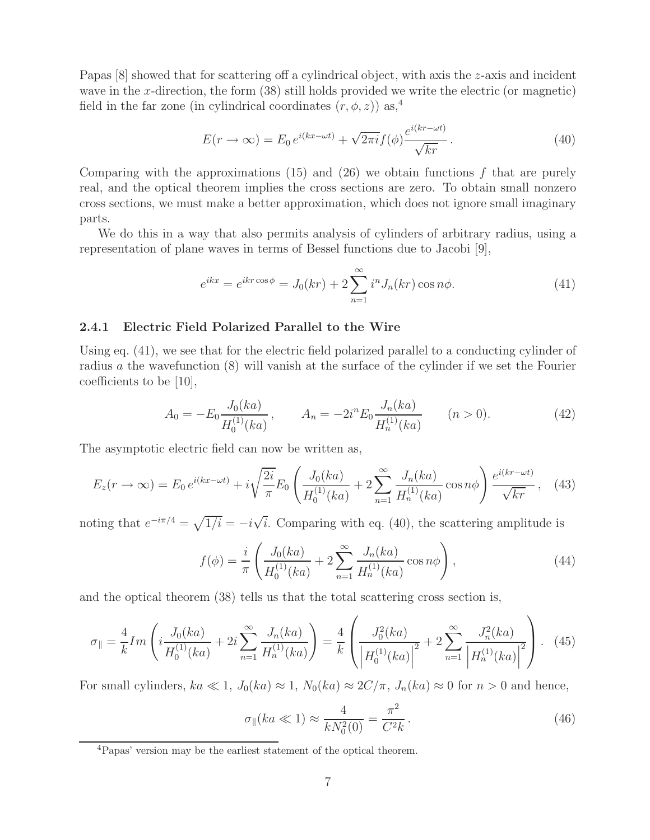Papas [8] showed that for scattering off a cylindrical object, with axis the z-axis and incident wave in the x-direction, the form (38) still holds provided we write the electric (or magnetic) field in the far zone (in cylindrical coordinates  $(r, \phi, z)$ ) as,<sup>4</sup>

$$
E(r \to \infty) = E_0 e^{i(kx - \omega t)} + \sqrt{2\pi i} f(\phi) \frac{e^{i(kr - \omega t)}}{\sqrt{kr}}.
$$
\n(40)

Comparing with the approximations  $(15)$  and  $(26)$  we obtain functions f that are purely real, and the optical theorem implies the cross sections are zero. To obtain small nonzero cross sections, we must make a better approximation, which does not ignore small imaginary parts.

We do this in a way that also permits analysis of cylinders of arbitrary radius, using a representation of plane waves in terms of Bessel functions due to Jacobi [9],

$$
e^{ikx} = e^{ikr\cos\phi} = J_0(kr) + 2\sum_{n=1}^{\infty} i^n J_n(kr)\cos n\phi.
$$
 (41)

#### **2.4.1 Electric Field Polarized Parallel to the Wire**

Using eq. (41), we see that for the electric field polarized parallel to a conducting cylinder of radius a the wavefunction (8) will vanish at the surface of the cylinder if we set the Fourier coefficients to be [10],

$$
A_0 = -E_0 \frac{J_0(ka)}{H_0^{(1)}(ka)}, \qquad A_n = -2i^n E_0 \frac{J_n(ka)}{H_n^{(1)}(ka)} \qquad (n > 0). \tag{42}
$$

The asymptotic electric field can now be written as,

$$
E_z(r \to \infty) = E_0 e^{i(kx - \omega t)} + i\sqrt{\frac{2i}{\pi}} E_0 \left( \frac{J_0(ka)}{H_0^{(1)}(ka)} + 2 \sum_{n=1}^{\infty} \frac{J_n(ka)}{H_n^{(1)}(ka)} \cos n\phi \right) \frac{e^{i(kr - \omega t)}}{\sqrt{kr}}, \quad (43)
$$

noting that  $e^{-i\pi/4} = \sqrt{1/i} = -i\sqrt{i}$ . Comparing with eq. (40), the scattering amplitude is

$$
f(\phi) = \frac{i}{\pi} \left( \frac{J_0(ka)}{H_0^{(1)}(ka)} + 2 \sum_{n=1}^{\infty} \frac{J_n(ka)}{H_n^{(1)}(ka)} \cos n\phi \right),
$$
 (44)

and the optical theorem (38) tells us that the total scattering cross section is,

$$
\sigma_{\parallel} = \frac{4}{k} Im \left( i \frac{J_0(ka)}{H_0^{(1)}(ka)} + 2i \sum_{n=1}^{\infty} \frac{J_n(ka)}{H_n^{(1)}(ka)} \right) = \frac{4}{k} \left( \frac{J_0^2(ka)}{\left| H_0^{(1)}(ka) \right|^2} + 2 \sum_{n=1}^{\infty} \frac{J_n^2(ka)}{\left| H_n^{(1)}(ka) \right|^2} \right). \tag{45}
$$

For small cylinders,  $ka \ll 1$ ,  $J_0(ka) \approx 1$ ,  $N_0(ka) \approx 2C/\pi$ ,  $J_n(ka) \approx 0$  for  $n > 0$  and hence,

$$
\sigma_{\parallel}(ka \ll 1) \approx \frac{4}{k N_0^2(0)} = \frac{\pi^2}{C^2 k}.
$$
\n(46)

<sup>4</sup>Papas' version may be the earliest statement of the optical theorem.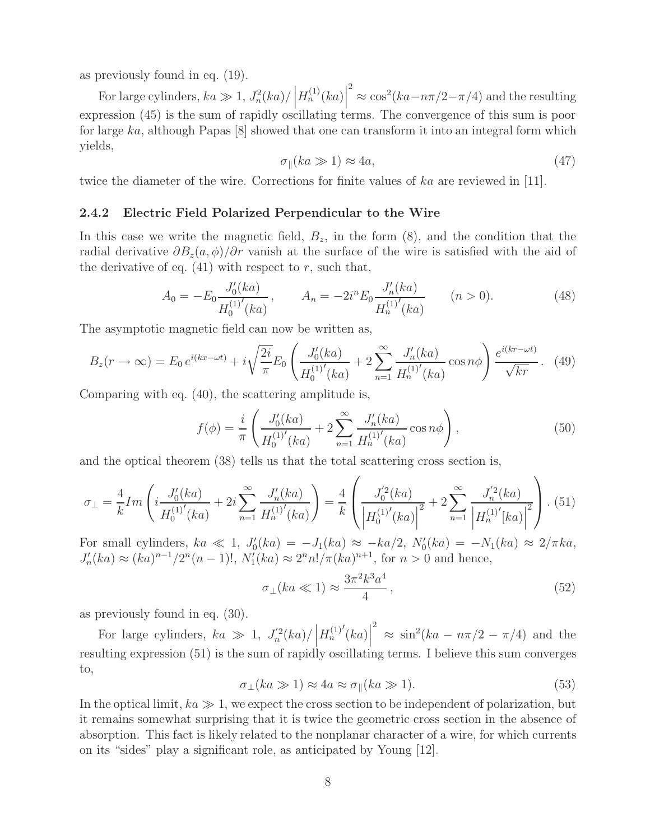as previously found in eq. (19).

For large cylinders,  $ka \gg 1$ ,  $J_n^2(ka)/|\frac{1}{2}$  $H_n^{(1)}(ka)$  $\approx \cos^2(ka - n\pi/2 - \pi/4)$  and the resulting expression (45) is the sum of rapidly oscillating terms. The convergence of this sum is poor for large ka, although Papas [8] showed that one can transform it into an integral form which yields,

$$
\sigma_{\parallel}(ka \gg 1) \approx 4a,\tag{47}
$$

twice the diameter of the wire. Corrections for finite values of ka are reviewed in [11].

#### **2.4.2 Electric Field Polarized Perpendicular to the Wire**

In this case we write the magnetic field,  $B_z$ , in the form  $(8)$ , and the condition that the radial derivative  $\partial B_z(a, \phi)/\partial r$  vanish at the surface of the wire is satisfied with the aid of the derivative of eq.  $(41)$  with respect to r, such that,

$$
A_0 = -E_0 \frac{J_0'(ka)}{H_0^{(1)'}(ka)}, \qquad A_n = -2i^n E_0 \frac{J_n'(ka)}{H_n^{(1)'}(ka)} \qquad (n > 0).
$$
 (48)

The asymptotic magnetic field can now be written as,

$$
B_z(r \to \infty) = E_0 e^{i(kx - \omega t)} + i\sqrt{\frac{2i}{\pi}} E_0 \left( \frac{J'_0(ka)}{H_0^{(1)'}(ka)} + 2 \sum_{n=1}^{\infty} \frac{J'_n(ka)}{H_n^{(1)'}(ka)} \cos n\phi \right) \frac{e^{i(kr - \omega t)}}{\sqrt{kr}}. (49)
$$

Comparing with eq. (40), the scattering amplitude is,

$$
f(\phi) = \frac{i}{\pi} \left( \frac{J_0'(ka)}{H_0^{(1)'}(ka)} + 2 \sum_{n=1}^{\infty} \frac{J_n'(ka)}{H_n^{(1)'}(ka)} \cos n\phi \right),
$$
 (50)

and the optical theorem (38) tells us that the total scattering cross section is,

$$
\sigma_{\perp} = \frac{4}{k} Im \left( i \frac{J_0'(ka)}{H_0^{(1)'}(ka)} + 2i \sum_{n=1}^{\infty} \frac{J_n'(ka)}{H_n^{(1)'}(ka)} \right) = \frac{4}{k} \left( \frac{J_0'^2(ka)}{\left| H_0^{(1)'}(ka) \right|^2} + 2 \sum_{n=1}^{\infty} \frac{J_n'^2(ka)}{\left| H_n^{(1)'}(ka) \right|^2} \right). (51)
$$

For small cylinders,  $ka \ll 1$ ,  $J'_0(ka) = -J_1(ka) \approx -ka/2$ ,  $N'_0(ka) = -N_1(ka) \approx 2/\pi ka$ ,  $J'_n(ka) \approx (ka)^{n-1}/2^n(n-1)!$ ,  $N'_1(ka) \approx 2^n n!/\pi(ka)^{n+1}$ , for  $n > 0$  and hence,

$$
\sigma_{\perp}(ka \ll 1) \approx \frac{3\pi^2 k^3 a^4}{4},\tag{52}
$$

as previously found in eq. (30).

For large cylinders,  $ka \gg 1$ ,  $J_n^{\prime 2}(ka)/\left|$  $H_n^{(1)'}(ka)$ <sup>2</sup>  $\approx \sin^2(ka - n\pi/2 - \pi/4)$  and the resulting expression (51) is the sum of rapidly oscillating terms. I believe this sum converges to,

$$
\sigma_{\perp}(ka \gg 1) \approx 4a \approx \sigma_{\parallel}(ka \gg 1). \tag{53}
$$

In the optical limit,  $ka \gg 1$ , we expect the cross section to be independent of polarization, but it remains somewhat surprising that it is twice the geometric cross section in the absence of absorption. This fact is likely related to the nonplanar character of a wire, for which currents on its "sides" play a significant role, as anticipated by Young [12].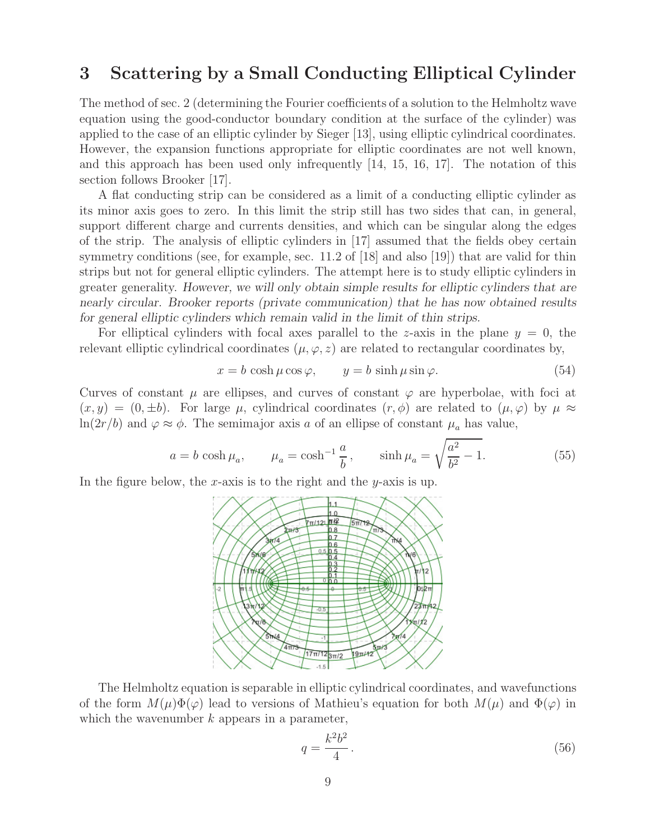## **3 Scattering by a Small Conducting Elliptical Cylinder**

The method of sec. 2 (determining the Fourier coefficients of a solution to the Helmholtz wave equation using the good-conductor boundary condition at the surface of the cylinder) was applied to the case of an elliptic cylinder by Sieger [13], using elliptic cylindrical coordinates. However, the expansion functions appropriate for elliptic coordinates are not well known, and this approach has been used only infrequently [14, 15, 16, 17]. The notation of this section follows Brooker [17].

A flat conducting strip can be considered as a limit of a conducting elliptic cylinder as its minor axis goes to zero. In this limit the strip still has two sides that can, in general, support different charge and currents densities, and which can be singular along the edges of the strip. The analysis of elliptic cylinders in [17] assumed that the fields obey certain symmetry conditions (see, for example, sec. 11.2 of [18] and also [19]) that are valid for thin strips but not for general elliptic cylinders. The attempt here is to study elliptic cylinders in greater generality. *However, we will only obtain simple results for elliptic cylinders that are nearly circular. Brooker reports (private communication) that he has now obtained results for general elliptic cylinders which remain valid in the limit of thin strips.*

For elliptical cylinders with focal axes parallel to the z-axis in the plane  $y = 0$ , the relevant elliptic cylindrical coordinates  $(\mu, \varphi, z)$  are related to rectangular coordinates by,

$$
x = b \cosh \mu \cos \varphi, \qquad y = b \sinh \mu \sin \varphi. \tag{54}
$$

Curves of constant  $\mu$  are ellipses, and curves of constant  $\varphi$  are hyperbolae, with foci at  $(x, y) = (0, \pm b)$ . For large  $\mu$ , cylindrical coordinates  $(r, \phi)$  are related to  $(\mu, \varphi)$  by  $\mu \approx$  $ln(2r/b)$  and  $\varphi \approx \phi$ . The semimajor axis a of an ellipse of constant  $\mu_a$  has value,

$$
a = b \cosh \mu_a
$$
,  $\mu_a = \cosh^{-1} \frac{a}{b}$ ,  $\sinh \mu_a = \sqrt{\frac{a^2}{b^2} - 1}$ . (55)

In the figure below, the x-axis is to the right and the y-axis is up.



The Helmholtz equation is separable in elliptic cylindrical coordinates, and wavefunctions of the form  $M(\mu)\Phi(\varphi)$  lead to versions of Mathieu's equation for both  $M(\mu)$  and  $\Phi(\varphi)$  in which the wavenumber  $k$  appears in a parameter,

$$
q = \frac{k^2 b^2}{4}.\tag{56}
$$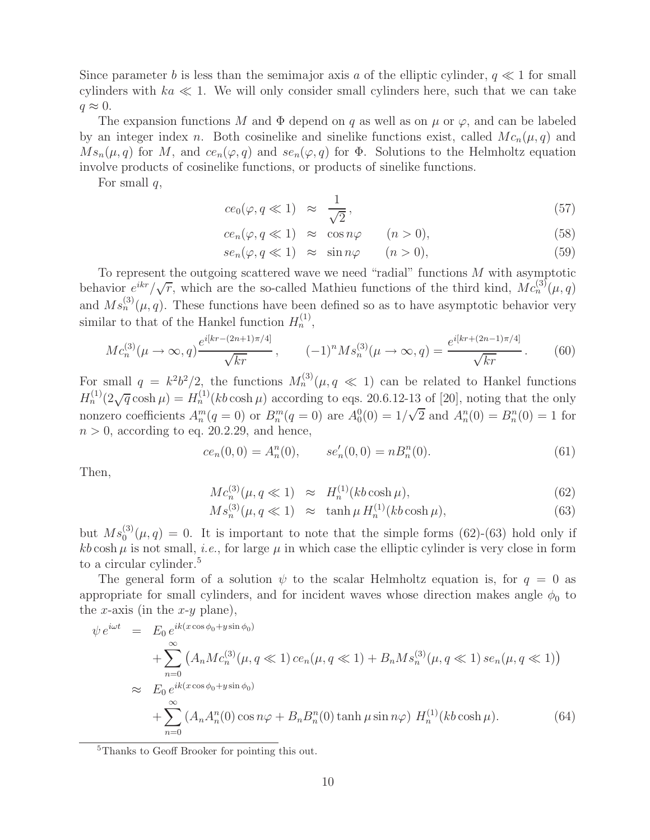Since parameter b is less than the semimajor axis a of the elliptic cylinder,  $q \ll 1$  for small cylinders with  $ka \ll 1$ . We will only consider small cylinders here, such that we can take  $q \approx 0$ .

The expansion functions M and  $\Phi$  depend on q as well as on  $\mu$  or  $\varphi$ , and can be labeled by an integer index n. Both cosinelike and sinelike functions exist, called  $Mc_n(\mu, q)$  and  $Ms_n(\mu, q)$  for M, and  $ce_n(\varphi, q)$  and  $se_n(\varphi, q)$  for  $\Phi$ . Solutions to the Helmholtz equation involve products of cosinelike functions, or products of sinelike functions.

For small  $q$ ,

$$
ce_0(\varphi, q \ll 1) \approx \frac{1}{\sqrt{2}}, \qquad (57)
$$

$$
ce_n(\varphi, q \ll 1) \approx \cos n\varphi \qquad (n > 0), \qquad (58)
$$

$$
se_n(\varphi, q \ll 1) \approx \sin n\varphi \qquad (n > 0), \tag{59}
$$

To represent the outgoing scattered wave we need "radial" functions  $M$  with asymptotic behavior  $e^{ikr}/\sqrt{r}$ , which are the so-called Mathieu functions of the third kind,  $Mc_n^{(3)}(\mu, q)$ and  $Ms_n^{(3)}(\mu, q)$ . These functions have been defined so as to have asymptotic behavior very similar to that of the Hankel function  $H_n^{(1)}$ ,

$$
Mc_n^{(3)}(\mu \to \infty, q) \frac{e^{i[kr - (2n+1)\pi/4]}}{\sqrt{kr}}, \qquad (-1)^n M s_n^{(3)}(\mu \to \infty, q) = \frac{e^{i[kr + (2n-1)\pi/4]}}{\sqrt{kr}}.
$$
 (60)

For small  $q = k^2b^2/2$ , the functions  $M_n^{(3)}(\mu, q \ll 1)$  can be related to Hankel functions  $H_n^{(1)}(2\sqrt{q}\cosh\mu) = H_n^{(1)}(kb\cosh\mu)$  according to eqs. 20.6.12-13 of [20], noting that the only nonzero coefficients  $A_n^m(q=0)$  or  $B_n^m(q=0)$  are  $A_0^0(0) = 1/\sqrt{2}$  and  $A_n^n(0) = B_n^n(0) = 1$  for  $n > 0$ , according to eq. 20.2.29, and hence,

$$
ce_n(0,0) = A_n^n(0), \qquad se'_n(0,0) = nB_n^n(0). \tag{61}
$$

Then,

$$
Mc_n^{(3)}(\mu, q \ll 1) \approx H_n^{(1)}(kb \cosh \mu), \tag{62}
$$

$$
Ms_n^{(3)}(\mu, q \ll 1) \approx \tanh \mu H_n^{(1)}(kb \cosh \mu), \tag{63}
$$

but  $Ms_0^{(3)}(\mu, q) = 0$ . It is important to note that the simple forms (62)-(63) hold only if  $kb \cosh \mu$  is not small, *i.e.*, for large  $\mu$  in which case the elliptic cylinder is very close in form to a circular cylinder.<sup>5</sup>

The general form of a solution  $\psi$  to the scalar Helmholtz equation is, for  $q = 0$  as appropriate for small cylinders, and for incident waves whose direction makes angle  $\phi_0$  to the x-axis (in the  $x-y$  plane),

$$
\psi e^{i\omega t} = E_0 e^{ik(x\cos\phi_0 + y\sin\phi_0)}
$$
  
+ 
$$
\sum_{n=0}^{\infty} \left( A_n M c_n^{(3)}(\mu, q \ll 1) c e_n(\mu, q \ll 1) + B_n M s_n^{(3)}(\mu, q \ll 1) s e_n(\mu, q \ll 1) \right)
$$
  

$$
\approx E_0 e^{ik(x\cos\phi_0 + y\sin\phi_0)}
$$
  
+ 
$$
\sum_{n=0}^{\infty} \left( A_n A_n^n(0) \cos n\varphi + B_n B_n^n(0) \tanh \mu \sin n\varphi \right) H_n^{(1)}(kb \cosh \mu).
$$
 (64)

<sup>5</sup>Thanks to Geoff Brooker for pointing this out.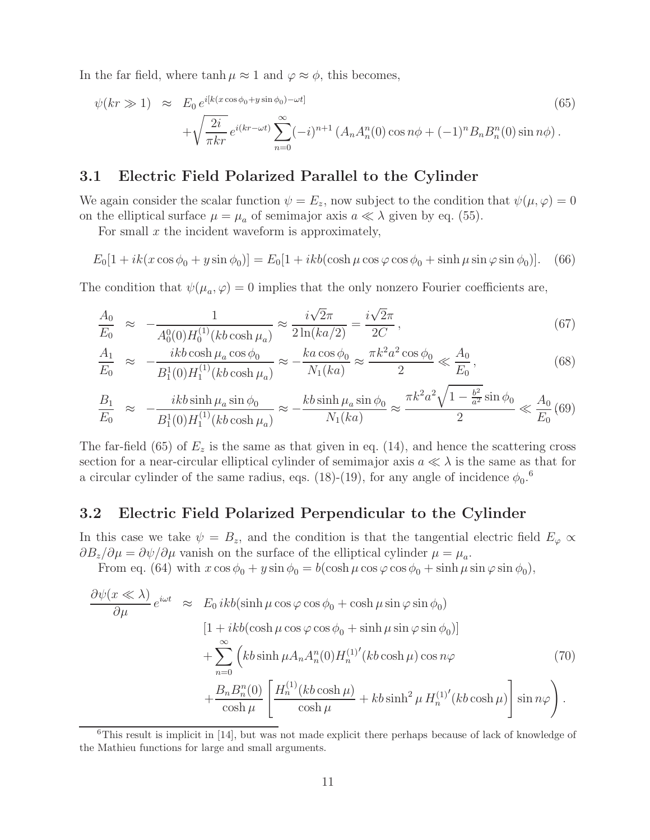In the far field, where  $\tanh \mu \approx 1$  and  $\varphi \approx \phi$ , this becomes,

$$
\psi(kr \gg 1) \approx E_0 e^{i[k(x\cos\phi_0 + y\sin\phi_0) - \omega t]} + \sqrt{\frac{2i}{\pi kr}} e^{i(kr - \omega t)} \sum_{n=0}^{\infty} (-i)^{n+1} \left( A_n A_n^n(0) \cos n\phi + (-1)^n B_n B_n^n(0) \sin n\phi \right).
$$
\n(65)

### **3.1 Electric Field Polarized Parallel to the Cylinder**

We again consider the scalar function  $\psi = E_z$ , now subject to the condition that  $\psi(\mu, \varphi) = 0$ on the elliptical surface  $\mu = \mu_a$  of semimajor axis  $a \ll \lambda$  given by eq. (55).

For small  $x$  the incident waveform is approximately,

$$
E_0[1 + ik(x\cos\phi_0 + y\sin\phi_0)] = E_0[1 + ikb(\cosh\mu\cos\phi\cos\phi_0 + \sinh\mu\sin\phi\sin\phi_0)].
$$
 (66)

The condition that  $\psi(\mu_a, \varphi) = 0$  implies that the only nonzero Fourier coefficients are,

$$
\frac{A_0}{E_0} \approx -\frac{1}{A_0^0(0)H_0^{(1)}(kb\cosh\mu_a)} \approx \frac{i\sqrt{2}\pi}{2\ln(ka/2)} = \frac{i\sqrt{2}\pi}{2C} \,,\tag{67}
$$

$$
\frac{A_1}{E_0} \approx -\frac{ikb\cosh\mu_a\cos\phi_0}{B_1^1(0)H_1^{(1)}(kb\cosh\mu_a)} \approx -\frac{ka\cos\phi_0}{N_1(ka)} \approx \frac{\pi k^2 a^2 \cos\phi_0}{2} \ll \frac{A_0}{E_0},
$$
\n(68)

$$
\frac{B_1}{E_0} \approx -\frac{ikb\sinh\mu_a\sin\phi_0}{B_1^1(0)H_1^{(1)}(kb\cosh\mu_a)} \approx -\frac{kb\sinh\mu_a\sin\phi_0}{N_1(ka)} \approx \frac{\pi k^2 a^2 \sqrt{1 - \frac{b^2}{a^2}}\sin\phi_0}{2} \ll \frac{A_0}{E_0}(69)
$$

The far-field (65) of  $E_z$  is the same as that given in eq. (14), and hence the scattering cross section for a near-circular elliptical cylinder of semimajor axis  $a \ll \lambda$  is the same as that for a circular cylinder of the same radius, eqs. (18)-(19), for any angle of incidence  $\phi_0$ .<sup>6</sup>

#### **3.2 Electric Field Polarized Perpendicular to the Cylinder**

In this case we take  $\psi = B_z$ , and the condition is that the tangential electric field  $E_{\varphi} \propto \frac{1}{\sqrt{2\pi}}$  $\partial B_z/\partial \mu = \partial \psi/\partial \mu$  vanish on the surface of the elliptical cylinder  $\mu = \mu_a$ .

From eq. (64) with  $x \cos \phi_0 + y \sin \phi_0 = b(\cosh \mu \cos \phi \cos \phi_0 + \sinh \mu \sin \phi \sin \phi_0),$ 

$$
\frac{\partial \psi(x \ll \lambda)}{\partial \mu} e^{i\omega t} \approx E_0 ikb(\sinh \mu \cos \varphi \cos \phi_0 + \cosh \mu \sin \varphi \sin \phi_0)
$$
  
\n
$$
[1 + ikb(\cosh \mu \cos \varphi \cos \phi_0 + \sinh \mu \sin \varphi \sin \phi_0)]
$$
  
\n
$$
+ \sum_{n=0}^{\infty} \left( kb \sinh \mu A_n A_n^n(0) H_n^{(1)'}(kb \cosh \mu) \cos n\varphi \right)
$$
  
\n
$$
+ \frac{B_n B_n^n(0)}{\cosh \mu} \left[ \frac{H_n^{(1)}(kb \cosh \mu)}{\cosh \mu} + kb \sinh^2 \mu H_n^{(1)'}(kb \cosh \mu) \right] \sin n\varphi \right).
$$
\n(70)

 $6$ This result is implicit in [14], but was not made explicit there perhaps because of lack of knowledge of the Mathieu functions for large and small arguments.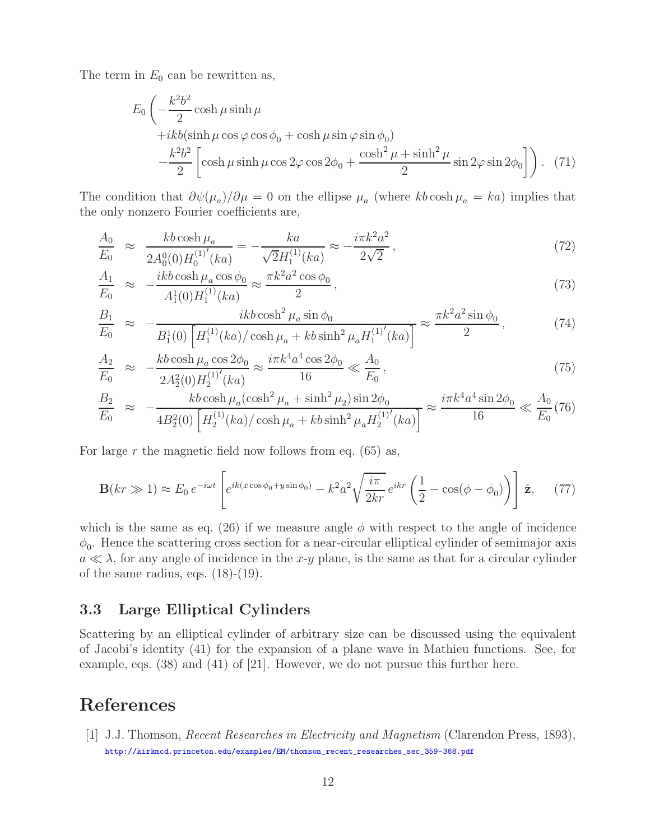The term in  $E_0$  can be rewritten as,

$$
E_0 \left( -\frac{k^2 b^2}{2} \cosh \mu \sinh \mu \right.\n+ikb(\sinh \mu \cos \varphi \cos \phi_0 + \cosh \mu \sin \varphi \sin \phi_0)\n- \frac{k^2 b^2}{2} \left[ \cosh \mu \sinh \mu \cos 2\varphi \cos 2\phi_0 + \frac{\cosh^2 \mu + \sinh^2 \mu}{2} \sin 2\varphi \sin 2\phi_0 \right] \right). (71)
$$

The condition that  $\partial \psi(\mu_a)/\partial \mu = 0$  on the ellipse  $\mu_a$  (where kb cosh  $\mu_a = ka$ ) implies that the only nonzero Fourier coefficients are,

$$
\frac{A_0}{E_0} \approx \frac{kb \cosh \mu_a}{2A_0^0(0)H_0^{(1)'}(ka)} = -\frac{ka}{\sqrt{2}H_1^{(1)}(ka)} \approx -\frac{i\pi k^2 a^2}{2\sqrt{2}},\tag{72}
$$

$$
\frac{A_1}{E_0} \approx -\frac{ikb\cosh\mu_a\cos\phi_0}{A_1^1(0)H_1^{(1)}(ka)} \approx \frac{\pi k^2 a^2 \cos\phi_0}{2},
$$
\n(73)

$$
\frac{B_1}{E_0} \approx -\frac{ikb\cosh^2\mu_a\sin\phi_0}{B_1^1(0)\left[H_1^{(1)}(ka)/\cosh\mu_a + kb\sinh^2\mu_a H_1^{(1)'}(ka)\right]} \approx \frac{\pi k^2 a^2 \sin\phi_0}{2},\tag{74}
$$

$$
\frac{A_2}{E_0} \approx -\frac{kb \cosh \mu_a \cos 2\phi_0}{2A_2^2(0)H_2^{(1)'}(ka)} \approx \frac{i\pi k^4 a^4 \cos 2\phi_0}{16} \ll \frac{A_0}{E_0},\tag{75}
$$

$$
\frac{B_2}{E_0} \approx -\frac{kb \cosh \mu_a (\cosh^2 \mu_a + \sinh^2 \mu_2) \sin 2\phi_0}{4B_2^2(0) \left[ H_2^{(1)}(ka) / \cosh \mu_a + kb \sinh^2 \mu_a H_2^{(1)'}(ka) \right]} \approx \frac{i\pi k^4 a^4 \sin 2\phi_0}{16} \ll \frac{A_0}{E_0} (76)
$$

For large r the magnetic field now follows from eq.  $(65)$  as,

$$
\mathbf{B}(kr \gg 1) \approx E_0 e^{-i\omega t} \left[ e^{ik(x\cos\phi_0 + y\sin\phi_0)} - k^2 a^2 \sqrt{\frac{i\pi}{2kr}} e^{ikr} \left( \frac{1}{2} - \cos(\phi - \phi_0) \right) \right] \hat{\mathbf{z}}, \quad (77)
$$

which is the same as eq. (26) if we measure angle  $\phi$  with respect to the angle of incidence  $\phi_0$ . Hence the scattering cross section for a near-circular elliptical cylinder of semimajor axis  $a \ll \lambda$ , for any angle of incidence in the x-y plane, is the same as that for a circular cylinder of the same radius, eqs. (18)-(19).

### **3.3 Large Elliptical Cylinders**

Scattering by an elliptical cylinder of arbitrary size can be discussed using the equivalent of Jacobi's identity (41) for the expansion of a plane wave in Mathieu functions. See, for example, eqs. (38) and (41) of [21]. However, we do not pursue this further here.

## **References**

[1] J.J. Thomson, Recent Researches in Electricity and Magnetism (Clarendon Press, 1893), http://kirkmcd.princeton.edu/examples/EM/thomson\_recent\_researches\_sec\_359-368.pdf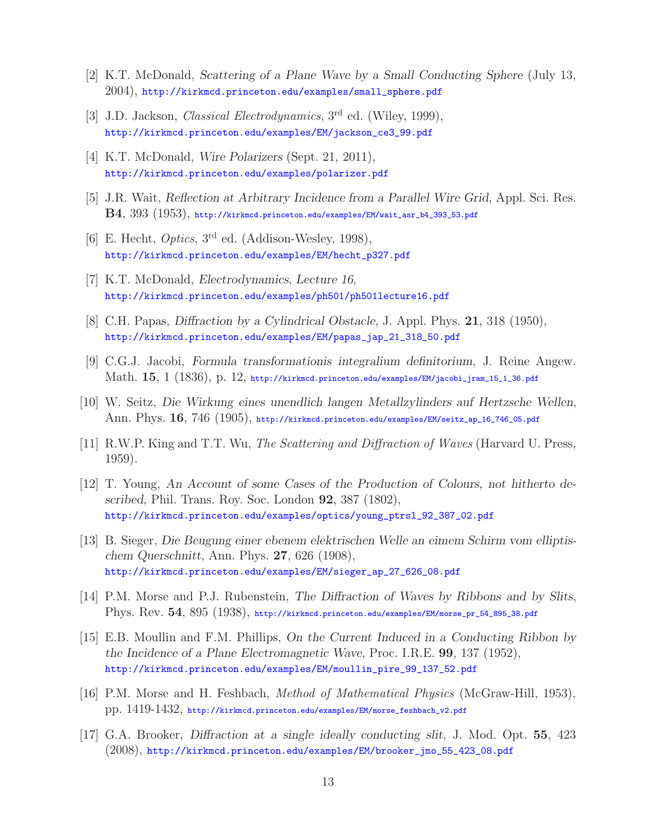- [2] K.T. McDonald, *Scattering of a Plane Wave by a Small Conducting Sphere* (July 13, 2004), http://kirkmcd.princeton.edu/examples/small\_sphere.pdf
- [3] J.D. Jackson, *Classical Electrodynamics*, 3<sup>rd</sup> ed. (Wiley, 1999), http://kirkmcd.princeton.edu/examples/EM/jackson\_ce3\_99.pdf
- [4] K.T. McDonald, *Wire Polarizers* (Sept. 21, 2011), http://kirkmcd.princeton.edu/examples/polarizer.pdf
- [5] J.R. Wait, *Reflection at Arbitrary Incidence from a Parallel Wire Grid*, Appl. Sci. Res. **B4**, 393 (1953), http://kirkmcd.princeton.edu/examples/EM/wait\_asr\_b4\_393\_53.pdf
- [6] E. Hecht, *Optics*,  $3^{\text{rd}}$  ed. (Addison-Wesley, 1998), http://kirkmcd.princeton.edu/examples/EM/hecht\_p327.pdf
- [7] K.T. McDonald, *Electrodynamics, Lecture 16*, http://kirkmcd.princeton.edu/examples/ph501/ph501lecture16.pdf
- [8] C.H. Papas, *Diffraction by a Cylindrical Obstacle*, J. Appl. Phys. **21**, 318 (1950), http://kirkmcd.princeton.edu/examples/EM/papas\_jap\_21\_318\_50.pdf
- [9] C.G.J. Jacobi, *Formula transformationis integralium definitorium*, J. Reine Angew. Math. **15**, 1 (1836), p. 12, http://kirkmcd.princeton.edu/examples/EM/jacobi\_jram\_15\_1\_36.pdf
- [10] W. Seitz, *Die Wirkung eines unendlich langen Metallzylinders auf Hertzsche Wellen*, Ann. Phys. **16**, 746 (1905), http://kirkmcd.princeton.edu/examples/EM/seitz\_ap\_16\_746\_05.pdf
- [11] R.W.P. King and T.T. Wu, The Scattering and Diffraction of Waves (Harvard U. Press, 1959).
- [12] T. Young, *An Account of some Cases of the Production of Colours, not hitherto described*, Phil. Trans. Roy. Soc. London **92**, 387 (1802), http://kirkmcd.princeton.edu/examples/optics/young\_ptrsl\_92\_387\_02.pdf
- [13] B. Sieger, *Die Beugung einer ebenem elektrischen Welle an eimem Schirm vom elliptischem Querschnitt*, Ann. Phys. **27**, 626 (1908), http://kirkmcd.princeton.edu/examples/EM/sieger\_ap\_27\_626\_08.pdf
- [14] P.M. Morse and P.J. Rubenstein, *The Diffraction of Waves by Ribbons and by Slits*, Phys. Rev. **54**, 895 (1938), http://kirkmcd.princeton.edu/examples/EM/morse\_pr\_54\_895\_38.pdf
- [15] E.B. Moullin and F.M. Phillips, *On the Current Induced in a Conducting Ribbon by the Incidence of a Plane Electromagnetic Wave*, Proc. I.R.E. **99**, 137 (1952), http://kirkmcd.princeton.edu/examples/EM/moullin\_pire\_99\_137\_52.pdf
- [16] P.M. Morse and H. Feshbach, Method of Mathematical Physics (McGraw-Hill, 1953), pp. 1419-1432, http://kirkmcd.princeton.edu/examples/EM/morse\_feshbach\_v2.pdf
- [17] G.A. Brooker, *Diffraction at a single ideally conducting slit*, J. Mod. Opt. **55**, 423 (2008), http://kirkmcd.princeton.edu/examples/EM/brooker\_jmo\_55\_423\_08.pdf